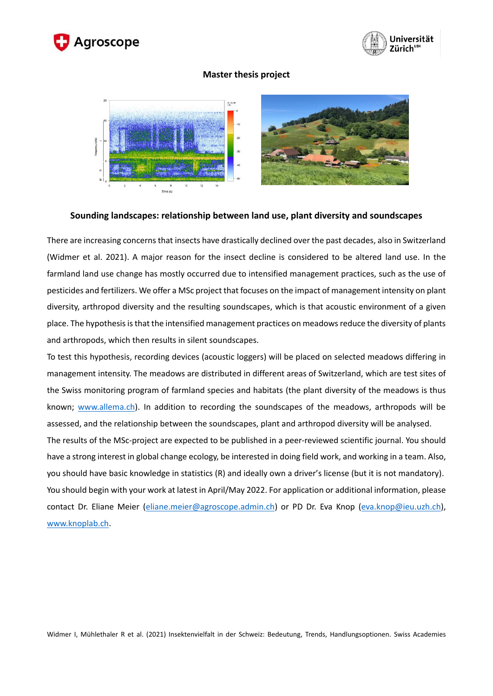



## **Master thesis project**



## **Sounding landscapes: relationship between land use, plant diversity and soundscapes**

There are increasing concerns that insects have drastically declined over the past decades, also in Switzerland (Widmer et al. 2021). A major reason for the insect decline is considered to be altered land use. In the farmland land use change has mostly occurred due to intensified management practices, such as the use of pesticides and fertilizers. We offer a MSc project that focuses on the impact of management intensity on plant diversity, arthropod diversity and the resulting soundscapes, which is that acoustic environment of a given place. The hypothesis is that the intensified management practices on meadows reduce the diversity of plants and arthropods, which then results in silent soundscapes.

To test this hypothesis, recording devices (acoustic loggers) will be placed on selected meadows differing in management intensity. The meadows are distributed in different areas of Switzerland, which are test sites of the Swiss monitoring program of farmland species and habitats (the plant diversity of the meadows is thus known; [www.allema.ch\)](http://www.allema.ch/). In addition to recording the soundscapes of the meadows, arthropods will be assessed, and the relationship between the soundscapes, plant and arthropod diversity will be analysed.

The results of the MSc-project are expected to be published in a peer-reviewed scientific journal. You should have a strong interest in global change ecology, be interested in doing field work, and working in a team. Also, you should have basic knowledge in statistics (R) and ideally own a driver's license (but it is not mandatory). You should begin with your work at latest in April/May 2022. For application or additional information, please contact Dr. Eliane Meier [\(eliane.meier@agroscope.admin.ch\)](mailto:eliane.meier@agroscope.admin.ch) or PD Dr. Eva Knop [\(eva.knop@ieu.uzh.ch\)](mailto:eva.knop@ieu.uzh.ch), [www.knoplab.ch.](http://www.knoplab.ch/)